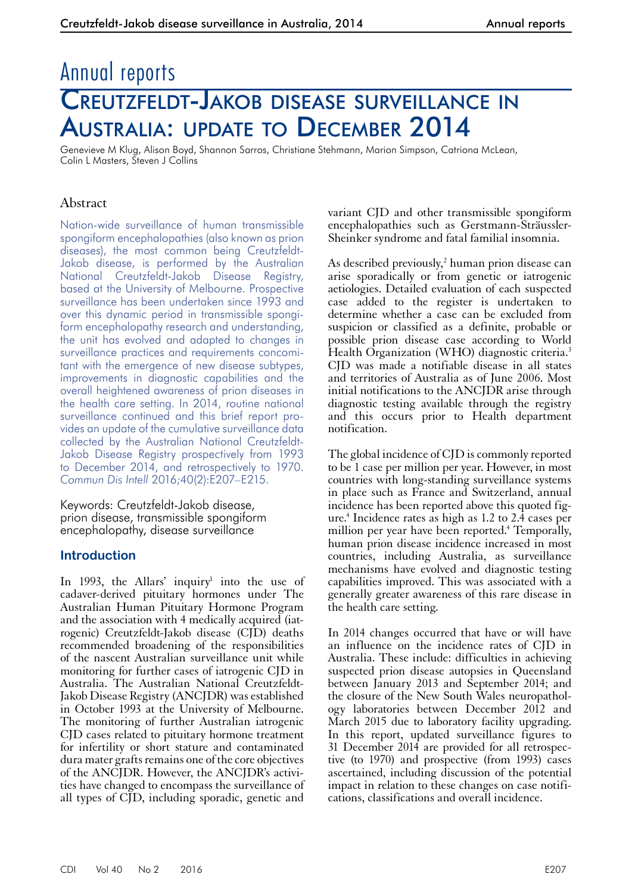# Annual reports Creutzfeldt-Jakob disease surveillance in Australia: update to December 2014

Genevieve M Klug, Alison Boyd, Shannon Sarros, Christiane Stehmann, Marion Simpson, Catriona McLean, Colin L Masters, Steven J Collins

# Abstract

Nation-wide surveillance of human transmissible spongiform encephalopathies (also known as prion diseases), the most common being Creutzfeldt-Jakob disease, is performed by the Australian National Creutzfeldt-Jakob Disease Registry, based at the University of Melbourne. Prospective surveillance has been undertaken since 1993 and over this dynamic period in transmissible spongiform encephalopathy research and understanding, the unit has evolved and adapted to changes in surveillance practices and requirements concomitant with the emergence of new disease subtypes, improvements in diagnostic capabilities and the overall heightened awareness of prion diseases in the health care setting. In 2014, routine national surveillance continued and this brief report provides an update of the cumulative surveillance data collected by the Australian National Creutzfeldt-Jakob Disease Registry prospectively from 1993 to December 2014, and retrospectively to 1970. *Commun Dis Intell* 2016;40(2):E207–E215.

Keywords: Creutzfeldt-Jakob disease, prion disease, transmissible spongiform encephalopathy, disease surveillance

## **Introduction**

In 1993, the Allars' inquiry<sup>1</sup> into the use of cadaver-derived pituitary hormones under The Australian Human Pituitary Hormone Program and the association with 4 medically acquired (iatrogenic) Creutzfeldt-Jakob disease (CJD) deaths recommended broadening of the responsibilities of the nascent Australian surveillance unit while monitoring for further cases of iatrogenic CJD in Australia. The Australian National Creutzfeldt-Jakob Disease Registry (ANCJDR) was established in October 1993 at the University of Melbourne. The monitoring of further Australian iatrogenic CJD cases related to pituitary hormone treatment for infertility or short stature and contaminated dura mater grafts remains one of the core objectives of the ANCJDR. However, the ANCJDR's activities have changed to encompass the surveillance of all types of CJD, including sporadic, genetic and

variant CJD and other transmissible spongiform encephalopathies such as Gerstmann-Sträussler-Sheinker syndrome and fatal familial insomnia.

As described previously,2 human prion disease can arise sporadically or from genetic or iatrogenic aetiologies. Detailed evaluation of each suspected case added to the register is undertaken to determine whether a case can be excluded from suspicion or classified as a definite, probable or possible prion disease case according to World Health Organization (WHO) diagnostic criteria.<sup>3</sup> CJD was made a notifiable disease in all states and territories of Australia as of June 2006. Most initial notifications to the ANCJDR arise through diagnostic testing available through the registry and this occurs prior to Health department notification.

The global incidence of CJD is commonly reported to be 1 case per million per year. However, in most countries with long-standing surveillance systems in place such as France and Switzerland, annual incidence has been reported above this quoted fig- ure.4 Incidence rates as high as 1.2 to 2.4 cases per million per year have been reported.<sup>4</sup> Temporally, human prion disease incidence increased in most countries, including Australia, as surveillance mechanisms have evolved and diagnostic testing capabilities improved. This was associated with a generally greater awareness of this rare disease in the health care setting.

In 2014 changes occurred that have or will have an influence on the incidence rates of CJD in Australia. These include: difficulties in achieving suspected prion disease autopsies in Queensland between January 2013 and September 2014; and the closure of the New South Wales neuropathology laboratories between December 2012 and March 2015 due to laboratory facility upgrading. In this report, updated surveillance figures to <sup>31</sup> December 2014 are provided for all retrospec- tive (to 1970) and prospective (from 1993) cases ascertained, including discussion of the potential impact in relation to these changes on case notifications, classifications and overall incidence.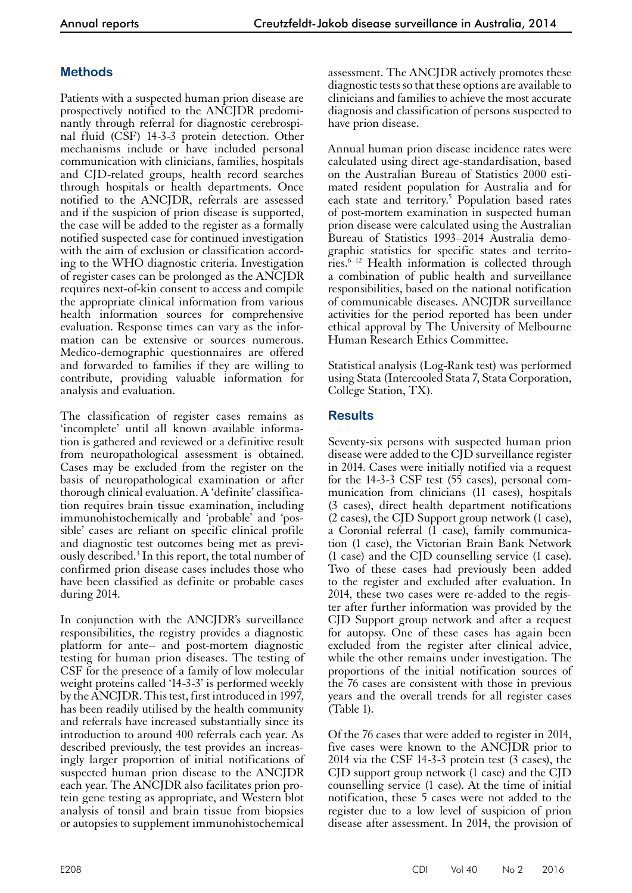# **Methods**

Patients with a suspected human prion disease are prospectively notified to the ANCJDR predominantly through referral for diagnostic cerebrospinal fluid (CSF) 14-3-3 protein detection. Other mechanisms include or have included personal communication with clinicians, families, hospitals and CJD-related groups, health record searches through hospitals or health departments. Once notified to the ANCJDR, referrals are assessed and if the suspicion of prion disease is supported, the case will be added to the register as a formally notified suspected case for continued investigation with the aim of exclusion or classification according to the WHO diagnostic criteria. Investigation of register cases can be prolonged as the ANCJDR requires next-of-kin consent to access and compile the appropriate clinical information from various health information sources for comprehensive evaluation. Response times can vary as the information can be extensive or sources numerous. Medico-demographic questionnaires are offered and forwarded to families if they are willing to contribute, providing valuable information for analysis and evaluation.

The classification of register cases remains as 'incomplete' until all known available information is gathered and reviewed or a definitive result from neuropathological assessment is obtained. Cases may be excluded from the register on the basis of neuropathological examination or after thorough clinical evaluation. A 'definite' classifica- tion requires brain tissue examination, including immunohistochemically and 'probable' and 'pos- sible' cases are reliant on specific clinical profile and diagnostic test outcomes being met as previ-<br>ously described.<sup>3</sup> In this report, the total number of confirmed prion disease cases includes those who have been classified as definite or probable cases during 2014.

In conjunction with the ANCJDR's surveillance responsibilities, the registry provides a diagnostic platform for ante– and post-mortem diagnostic testing for human prion diseases. The testing of CSF for the presence of a family of low molecular weight proteins called '14-3-3' is performed weekly by the ANCJDR. This test, first introduced in 1997, has been readily utilised by the health community and referrals have increased substantially since its introduction to around 400 referrals each year. As described previously, the test provides an increas- ingly larger proportion of initial notifications of suspected human prion disease to the ANCJDR each year. The ANCJDR also facilitates prion protein gene testing as appropriate, and Western blot analysis of tonsil and brain tissue from biopsies or autopsies to supplement immunohistochemical

assessment. The ANCJDR actively promotes these diagnostic tests so that these options are available to clinicians and families to achieve the most accurate diagnosis and classification of persons suspected to have prion disease.

Annual human prion disease incidence rates were calculated using direct age-standardisation, based on the Australian Bureau of Statistics 2000 estimated resident population for Australia and for each state and territory.<sup>5</sup> Population based rates of post-mortem examination in suspected human prion disease were calculated using the Australian Bureau of Statistics 1993–2014 Australia demographic statistics for specific states and territories.6–12 Health information is collected through a combination of public health and surveillance responsibilities, based on the national notification of communicable diseases. ANCJDR surveillance activities for the period reported has been under ethical approval by The University of Melbourne Human Research Ethics Committee.

Statistical analysis (Log-Rank test) was performed using Stata (Intercooled Stata 7, Stata Corporation, College Station, TX).

## **Results**

Seventy-six persons with suspected human prion disease were added to the CJD surveillance register in 2014. Cases were initially notified via a request for the 14-3-3 CSF test (55 cases), personal communication from clinicians (11 cases), hospitals (3 cases), direct health department notifications (2 cases), the CJD Support group network (1 case), a Coronial referral (1 case), family communica- tion (1 case), the Victorian Brain Bank Network (1 case) and the CJD counselling service (1 case). Two of these cases had previously been added to the register and excluded after evaluation. In 2014, these two cases were re-added to the regis- ter after further information was provided by the CJD Support group network and after a request for autopsy. One of these cases has again been excluded from the register after clinical advice, while the other remains under investigation. The proportions of the initial notification sources of the 76 cases are consistent with those in previous years and the overall trends for all register cases (Table 1).

Of the 76 cases that were added to register in 2014, five cases were known to the ANCJDR prior to 2014 via the CSF 14-3-3 protein test (3 cases), the CJD support group network (1 case) and the CJD counselling service (1 case). At the time of initial notification, these 5 cases were not added to the register due to a low level of suspicion of prion disease after assessment. In 2014, the provision of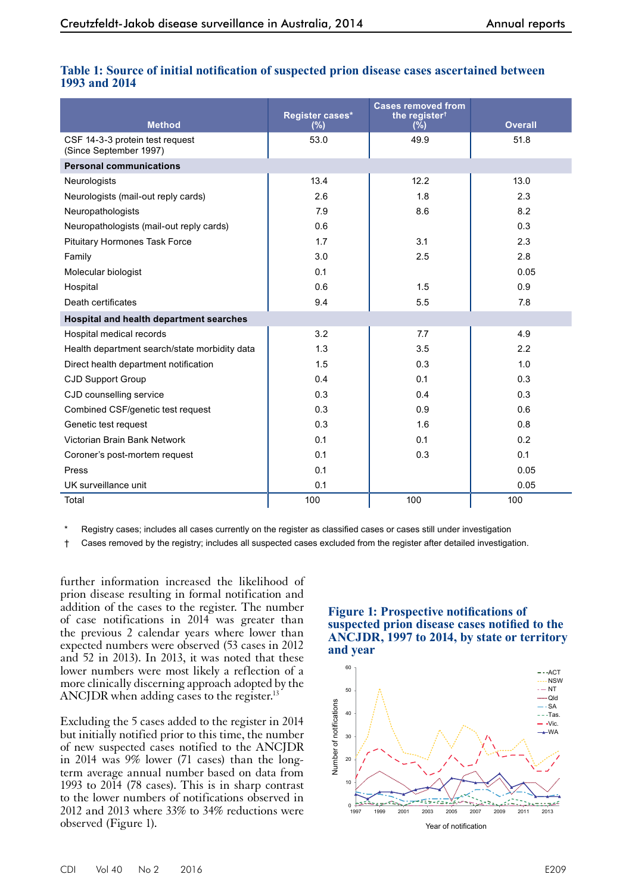|                                                           | Register cases* | <b>Cases removed from</b><br>the register <sup>†</sup> |                |
|-----------------------------------------------------------|-----------------|--------------------------------------------------------|----------------|
| <b>Method</b>                                             | (%)             | $(\bar{\%})$                                           | <b>Overall</b> |
| CSF 14-3-3 protein test request<br>(Since September 1997) | 53.0            | 49.9                                                   | 51.8           |
| <b>Personal communications</b>                            |                 |                                                        |                |
| Neurologists                                              | 13.4            | 12.2                                                   | 13.0           |
| Neurologists (mail-out reply cards)                       | 2.6             | 1.8                                                    | 2.3            |
| Neuropathologists                                         | 7.9             | 8.6                                                    | 8.2            |
| Neuropathologists (mail-out reply cards)                  | 0.6             |                                                        | 0.3            |
| <b>Pituitary Hormones Task Force</b>                      | 1.7             | 3.1                                                    | 2.3            |
| Family                                                    | 3.0             | 2.5                                                    | 2.8            |
| Molecular biologist                                       | 0.1             |                                                        | 0.05           |
| Hospital                                                  | 0.6             | 1.5                                                    | 0.9            |
| Death certificates                                        | 9.4             | 5.5                                                    | 7.8            |
| Hospital and health department searches                   |                 |                                                        |                |
| Hospital medical records                                  | 3.2             | 7.7                                                    | 4.9            |
| Health department search/state morbidity data             | 1.3             | 3.5                                                    | 2.2            |
| Direct health department notification                     | 1.5             | 0.3                                                    | 1.0            |
| <b>CJD Support Group</b>                                  | 0.4             | 0.1                                                    | 0.3            |
| CJD counselling service                                   | 0.3             | 0.4                                                    | 0.3            |
| Combined CSF/genetic test request                         | 0.3             | 0.9                                                    | 0.6            |
| Genetic test request                                      | 0.3             | 1.6                                                    | 0.8            |
| Victorian Brain Bank Network                              | 0.1             | 0.1                                                    | 0.2            |
| Coroner's post-mortem request                             | 0.1             | 0.3                                                    | 0.1            |
| Press                                                     | 0.1             |                                                        | 0.05           |
| UK surveillance unit                                      | 0.1             |                                                        | 0.05           |
| Total                                                     | 100             | 100                                                    | 100            |

## **Table 1: Source of initial notification of suspected prion disease cases ascertained between 1993 and 2014**

Registry cases; includes all cases currently on the register as classified cases or cases still under investigation

† Cases removed by the registry; includes all suspected cases excluded from the register after detailed investigation.

further information increased the likelihood of prion disease resulting in formal notification and addition of the cases to the register. The number of case notifications in 2014 was greater than the previous 2 calendar years where lower than expected numbers were observed (53 cases in 2012 and 52 in 2013). In 2013, it was noted that these lower numbers were most likely a reflection of a more clinically discerning approach adopted by the ANCJDR when adding cases to the register.<sup>13</sup>

Excluding the 5 cases added to the register in 2014 but initially notified prior to this time, the number of new suspected cases notified to the ANCJDR in 2014 was 9% lower (71 cases) than the longterm average annual number based on data from 1993 to  $20\overline{1}4$  (78 cases). This is in sharp contrast to the lower numbers of notifications observed in 2012 and 2013 where 33% to 34% reductions were observed (Figure 1).

## **Figure 1: Prospective notifications of suspected prion disease cases notified to the ANCJDR, 1997 to 2014, by state or territory and year**

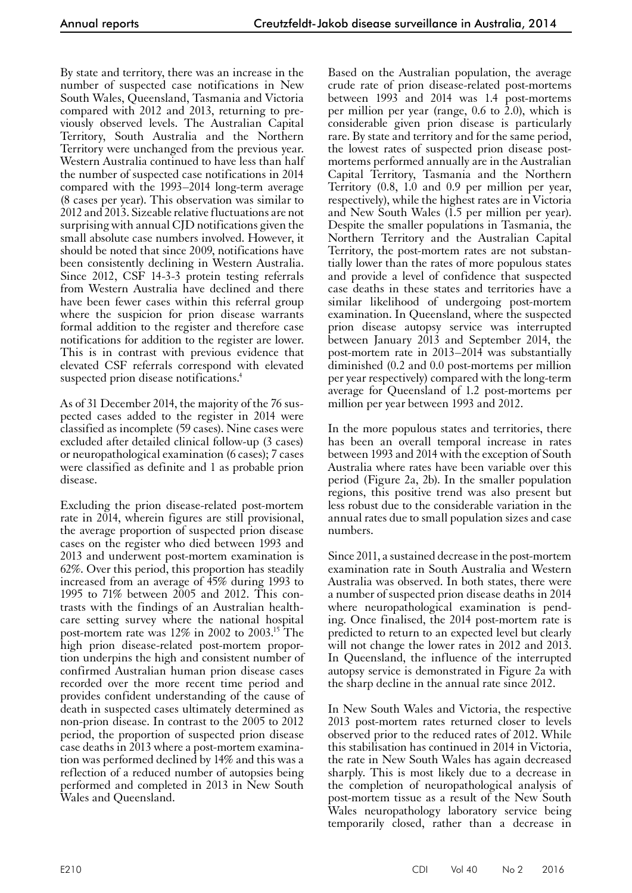By state and territory, there was an increase in the number of suspected case notifications in New South Wales, Queensland, Tasmania and Victoria compared with 2012 and 2013, returning to previously observed levels. The Australian Capital Territory, South Australia and the Northern Territory were unchanged from the previous year. Western Australia continued to have less than half the number of suspected case notifications in 2014 compared with the 1993–2014 long-term average (8 cases per year). This observation was similar to 2012 and 2013. Sizeable relative fluctuations are not surprising with annual CJD notifications given the small absolute case numbers involved. However, it should be noted that since 2009, notifications have been consistently declining in Western Australia. Since 2012, CSF 14-3-3 protein testing referrals from Western Australia have declined and there have been fewer cases within this referral group where the suspicion for prion disease warrants formal addition to the register and therefore case notifications for addition to the register are lower. This is in contrast with previous evidence that elevated CSF referrals correspond with elevated suspected prion disease notifications.<sup>4</sup>

As of 31 December 2014, the majority of the 76 suspected cases added to the register in 2014 were classified as incomplete (59 cases). Nine cases were excluded after detailed clinical follow-up (3 cases) or neuropathological examination (6 cases); 7 cases were classified as definite and 1 as probable prion disease.

Excluding the prion disease-related post-mortem rate in 2014, wherein figures are still provisional, the average proportion of suspected prion disease cases on the register who died between 1993 and 2013 and underwent post-mortem examination is 62%. Over this period, this proportion has steadily increased from an average of 45% during 1993 to 1995 to 71% between 2005 and 2012. This con-<br>trasts with the findings of an Australian health-<br>care setting survey where the national hospital post-mortem rate was 12% in 2002 to 2003.15 The high prion disease-related post-mortem proportion underpins the high and consistent number of confirmed Australian human prion disease cases recorded over the more recent time period and provides confident understanding of the cause of death in suspected cases ultimately determined as non-prion disease. In contrast to the 2005 to 2012 period, the proportion of suspected prion disease case deaths in 2013 where a post-mortem examina- tion was performed declined by 14% and this was a reflection of a reduced number of autopsies being performed and completed in 2013 in New South Wales and Queensland.

Based on the Australian population, the average crude rate of prion disease-related post-mortems between 1993 and 2014 was 1.4 post-mortems per million per year (range, 0.6 to 2.0), which is considerable given prion disease is particularly rare. By state and territory and for the same period, the lowest rates of suspected prion disease postmortems performed annually are in the Australian Capital Territory, Tasmania and the Northern Territory (0.8, 1.0 and 0.9 per million per year, respectively), while the highest rates are in Victoria and New South Wales (1.5 per million per year). Despite the smaller populations in Tasmania, the Northern Territory and the Australian Capital Territory, the post-mortem rates are not substantially lower than the rates of more populous states and provide a level of confidence that suspected case deaths in these states and territories have a similar likelihood of undergoing post-mortem examination. In Queensland, where the suspected prion disease autopsy service was interrupted between January 2013 and September 2014, the post-mortem rate in 2013–2014 was substantially diminished (0.2 and 0.0 post-mortems per million per year respectively) compared with the long-term average for Queensland of 1.2 post-mortems per million per year between 1993 and 2012.

In the more populous states and territories, there has been an overall temporal increase in rates between 1993 and 2014 with the exception of South Australia where rates have been variable over this period (Figure 2a, 2b). In the smaller population regions, this positive trend was also present but less robust due to the considerable variation in the annual rates due to small population sizes and case numbers.

Since 2011, a sustained decrease in the post-mortem examination rate in South Australia and Western Australia was observed. In both states, there were a number of suspected prion disease deaths in 2014 where neuropathological examination is pend-<br>ing. Once finalised, the 2014 post-mortem rate is predicted to return to an expected level but clearly will not change the lower rates in 2012 and 2013. In Queensland, the influence of the interrupted autopsy service is demonstrated in Figure 2a with the sharp decline in the annual rate since 2012.

In New South Wales and Victoria, the respective 2013 post-mortem rates returned closer to levels observed prior to the reduced rates of 2012. While this stabilisation has continued in 2014 in Victoria, the rate in New South Wales has again decreased sharply. This is most likely due to a decrease in the completion of neuropathological analysis of post-mortem tissue as a result of the New South Wales neuropathology laboratory service being temporarily closed, rather than a decrease in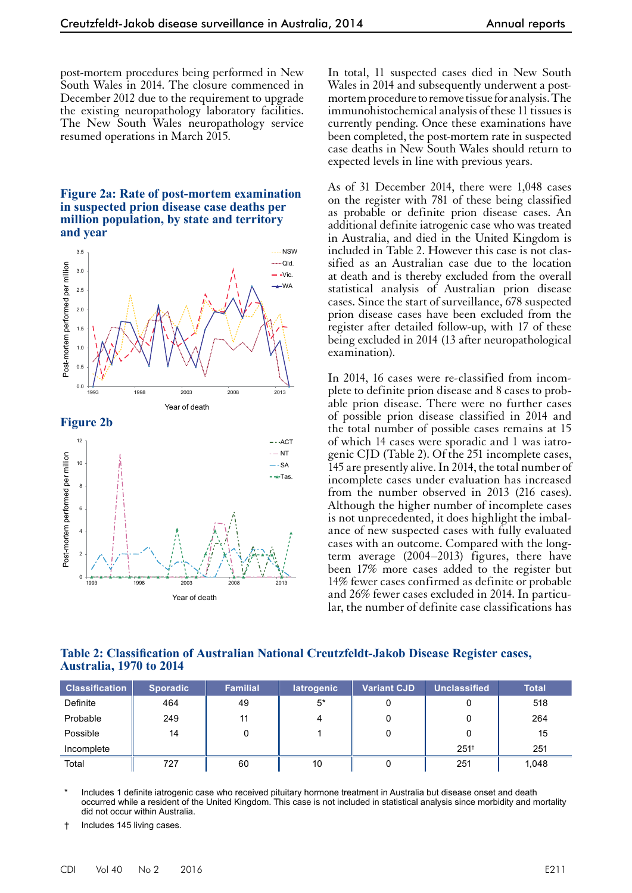post-mortem procedures being performed in New South Wales in 2014. The closure commenced in December 2012 due to the requirement to upgrade the existing neuropathology laboratory facilities. The New South Wales neuropathology service resumed operations in March 2015.

#### **Figure 2a: Rate of post-mortem examination in suspected prion disease case deaths per million population, by state and territory and year**



In total, 11 suspected cases died in New South Wales in 2014 and subsequently underwent a postmortem procedure to remove tissue for analysis. The immunohistochemical analysis of these 11 tissues is currently pending. Once these examinations have been completed, the post-mortem rate in suspected case deaths in New South Wales should return to expected levels in line with previous years.

As of 31 December 2014, there were 1,048 cases on the register with 781 of these being classified as probable or definite prion disease cases. An additional definite iatrogenic case who was treated in Australia, and died in the United Kingdom is included in Table 2. However this case is not classified as an Australian case due to the location at death and is thereby excluded from the overall statistical analysis of Australian prion disease cases. Since the start of surveillance, 678 suspected prion disease cases have been excluded from the register after detailed follow-up, with 17 of these being excluded in 2014 (13 after neuropathological examination).

In 2014, 16 cases were re-classified from incomplete to definite prion disease and 8 cases to probable prion disease. There were no further cases of possible prion disease classified in 2014 and the total number of possible cases remains at 15 of which 14 cases were sporadic and 1 was iatrogenic CJD (Table 2). Of the 251 incomplete cases, 145 are presently alive. In 2014, the total number of incomplete cases under evaluation has increased from the number observed in 2013 (216 cases). Although the higher number of incomplete cases is not unprecedented, it does highlight the imbal- ance of new suspected cases with fully evaluated cases with an outcome. Compared with the longterm average (2004–2013) figures, there have been 17% more cases added to the register but 14% fewer cases confirmed as definite or probable and 26% fewer cases excluded in 2014. In particu- lar, the number of definite case classifications has

#### **Table 2: Classification of Australian National Creutzfeldt-Jakob Disease Register cases, Australia, 1970 to 2014**

| <b>Classification</b> | <b>Sporadic</b> | <b>Familial</b> | latrogenic | <b>Variant CJD</b> | <b>Unclassified</b> | <b>Total</b> |
|-----------------------|-----------------|-----------------|------------|--------------------|---------------------|--------------|
| Definite              | 464             | 49              | $5^*$      |                    |                     | 518          |
| Probable              | 249             | 11              | 4          |                    | 0                   | 264          |
| Possible              | 14              |                 |            | 0                  | 0                   | 15           |
| Incomplete            |                 |                 |            |                    | $251^+$             | 251          |
| Total                 | 727             | 60              | 10         |                    | 251                 | 1,048        |

Includes 1 definite iatrogenic case who received pituitary hormone treatment in Australia but disease onset and death occurred while a resident of the United Kingdom. This case is not included in statistical analysis since morbidity and mortality did not occur within Australia.

† Includes 145 living cases.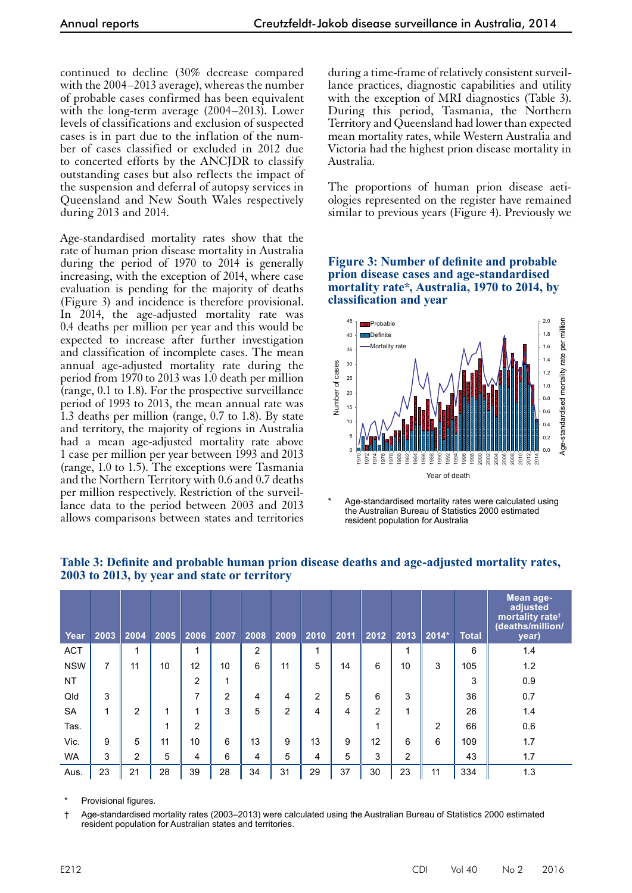continued to decline (30% decrease compared with the 2004–2013 average), whereas the number of probable cases confirmed has been equivalent with the long-term average (2004–2013). Lower levels of classifications and exclusion of suspected cases is in part due to the inflation of the number of cases classified or excluded in 2012 due to concerted efforts by the ANCJDR to classify outstanding cases but also reflects the impact of the suspension and deferral of autopsy services in Queensland and New South Wales respectively during 2013 and 2014.

Age-standardised mortality rates show that the rate of human prion disease mortality in Australia during the period of 1970 to 2014 is generally increasing, with the exception of 2014, where case evaluation is pending for the majority of deaths (Figure 3) and incidence is therefore provisional. In 2014, the age-adjusted mortality rate was 0.4 deaths per million per year and this would be expected to increase after further investigation and classification of incomplete cases. The mean annual age-adjusted mortality rate during the period from 1970 to 2013 was 1.0 death per million (range, 0.1 to 1.8). For the prospective surveillance period of 1993 to 2013, the mean annual rate was 1.3 deaths per million (range, 0.7 to 1.8). By state and territory, the majority of regions in Australia had a mean age-adjusted mortality rate above 1 case per million per year between 1993 and 2013 (range, 1.0 to 1.5). The exceptions were Tasmania and the Northern Territory with 0.6 and 0.7 deaths per million respectively. Restriction of the surveil- lance data to the period between 2003 and 2013 allows comparisons between states and territories

during a time-frame of relatively consistent surveillance practices, diagnostic capabilities and utility with the exception of MRI diagnostics (Table 3). During this period, Tasmania, the Northern Territory and Queensland had lower than expected mean mortality rates, while Western Australia and Victoria had the highest prion disease mortality in Australia.

The proportions of human prion disease aetiologies represented on the register have remained similar to previous years (Figure 4). Previously we

**Figure 3: Number of definite and probable prion disease cases and age-standardised mortality rate\*, Australia, 1970 to 2014, by classification and year**



Age-standardised mortality rates were calculated using the Australian Bureau of Statistics 2000 estimated resident population for Australia

| Year       | 2003 | 2004           | 2005 | 2006           | 2007 | 2008           | 2009 | 2010           | 2011 | 2012           | 2013           | $2014*$        | <b>Total</b> | Mean age-<br>adjusted<br>mortality rate <sup>+</sup><br>(deaths/million/<br>year) |
|------------|------|----------------|------|----------------|------|----------------|------|----------------|------|----------------|----------------|----------------|--------------|-----------------------------------------------------------------------------------|
| <b>ACT</b> |      | 1              |      | 1              |      | $\overline{2}$ |      | 1              |      |                | и              |                | 6            | 1.4                                                                               |
| <b>NSW</b> | 7    | 11             | 10   | 12             | 10   | 6              | 11   | 5              | 14   | 6              | 10             | 3              | 105          | 1.2                                                                               |
| <b>NT</b>  |      |                |      | 2              | 1    |                |      |                |      |                |                |                | 3            | 0.9                                                                               |
| Qld        | 3    |                |      | 7              | 2    | 4              | 4    | $\overline{2}$ | 5    | 6              | 3              |                | 36           | 0.7                                                                               |
| <b>SA</b>  | 1    | 2              | 1    | 1              | 3    | 5              | 2    | 4              | 4    | $\overline{2}$ |                |                | 26           | 1.4                                                                               |
| Tas.       |      |                | 1    | $\overline{2}$ |      |                |      |                |      | 1              |                | $\overline{2}$ | 66           | 0.6                                                                               |
| Vic.       | 9    | 5              | 11   | 10             | 6    | 13             | 9    | 13             | 9    | 12             | 6              | 6              | 109          | 1.7                                                                               |
| <b>WA</b>  | 3    | $\overline{2}$ | 5    | 4              | 6    | 4              | 5    | 4              | 5    | 3              | $\overline{2}$ |                | 43           | 1.7                                                                               |
| Aus.       | 23   | 21             | 28   | 39             | 28   | 34             | 31   | 29             | 37   | 30             | 23             | 11             | 334          | 1.3                                                                               |

## **Table 3: Definite and probable human prion disease deaths and age-adjusted mortality rates, 2003 to 2013, by year and state or territory**

Provisional figures.

† Age-standardised mortality rates (2003–2013) were calculated using the Australian Bureau of Statistics 2000 estimated resident population for Australian states and territories.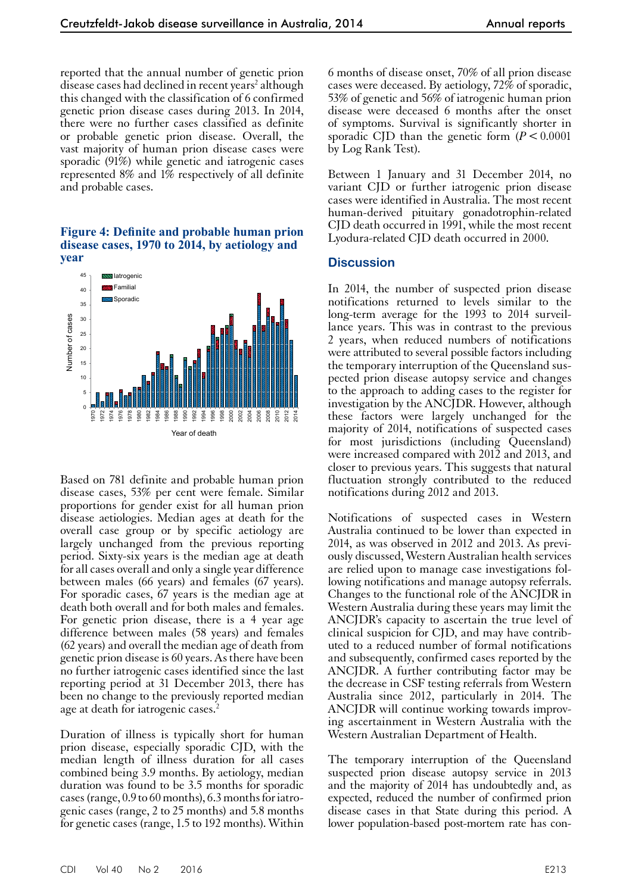reported that the annual number of genetic prion disease cases had declined in recent years<sup>2</sup> although this changed with the classification of 6 confirmed genetic prion disease cases during 2013. In 2014, there were no further cases classified as definite or probable genetic prion disease. Overall, the vast majority of human prion disease cases were sporadic (91%) while genetic and iatrogenic cases represented 8% and 1% respectively of all definite and probable cases.

#### **Figure 4: Definite and probable human prion disease cases, 1970 to 2014, by aetiology and year**



Based on 781 definite and probable human prion disease cases, 53% per cent were female. Similar proportions for gender exist for all human prion disease aetiologies. Median ages at death for the overall case group or by specific aetiology are largely unchanged from the previous reporting period. Sixty-six years is the median age at death for all cases overall and only a single year difference between males (66 years) and females (67 years). For sporadic cases, 67 years is the median age at death both overall and for both males and females. For genetic prion disease, there is a 4 year age difference between males (58 years) and females (62 years) and overall the median age of death from genetic prion disease is 60 years. As there have been no further iatrogenic cases identified since the last reporting period at 31 December 2013, there has been no change to the previously reported median age at death for iatrogenic cases.<sup>2</sup>

Duration of illness is typically short for human prion disease, especially sporadic CJD, with the median length of illness duration for all cases combined being 3.9 months. By aetiology, median duration was found to be 3.5 months for sporadic cases (range, 0.9 to 60 months), 6.3 months for iatrogenic cases (range, 2 to 25 months) and 5.8 months for genetic cases (range, 1.5 to 192 months). Within

6 months of disease onset, 70% of all prion disease cases were deceased. By aetiology, 72% of sporadic, 53% of genetic and 56% of iatrogenic human prion disease were deceased 6 months after the onset of symptoms. Survival is significantly shorter in sporadic CJD than the genetic form  $(P < 0.0001)$ by Log Rank Test).

Between 1 January and 31 December 2014, no variant CJD or further iatrogenic prion disease cases were identified in Australia. The most recent human-derived pituitary gonadotrophin-related CJD death occurred in 1991, while the most recent Lyodura-related CJD death occurred in 2000.

### **Discussion**

In 2014, the number of suspected prion disease notifications returned to levels similar to the long-term average for the 1993 to 2014 surveillance years. This was in contrast to the previous 2 years, when reduced numbers of notifications were attributed to several possible factors including the temporary interruption of the Queensland suspected prion disease autopsy service and changes to the approach to adding cases to the register for investigation by the ANCJDR. However, although these factors were largely unchanged for the majority of 2014, notifications of suspected cases for most jurisdictions (including Queensland) were increased compared with 2012 and 2013, and closer to previous years. This suggests that natural fluctuation strongly contributed to the reduced notifications during 2012 and 2013.

Notifications of suspected cases in Western Australia continued to be lower than expected in 2014, as was observed in 2012 and 2013. As previ- ously discussed, Western Australian health services are relied upon to manage case investigations fol- lowing notifications and manage autopsy referrals. Changes to the functional role of the ANCJDR in Western Australia during these years may limit the ANCJDR's capacity to ascertain the true level of clinical suspicion for CJD, and may have contributed to a reduced number of formal notifications and subsequently, confirmed cases reported by the ANCJDR. A further contributing factor may be the decrease in CSF testing referrals from Western Australia since 2012, particularly in 2014. The ANCJDR will continue working towards improv- ing ascertainment in Western Australia with the Western Australian Department of Health.

The temporary interruption of the Queensland suspected prion disease autopsy service in 2013 and the majority of 2014 has undoubtedly and, as expected, reduced the number of confirmed prion disease cases in that State during this period. A lower population-based post-mortem rate has con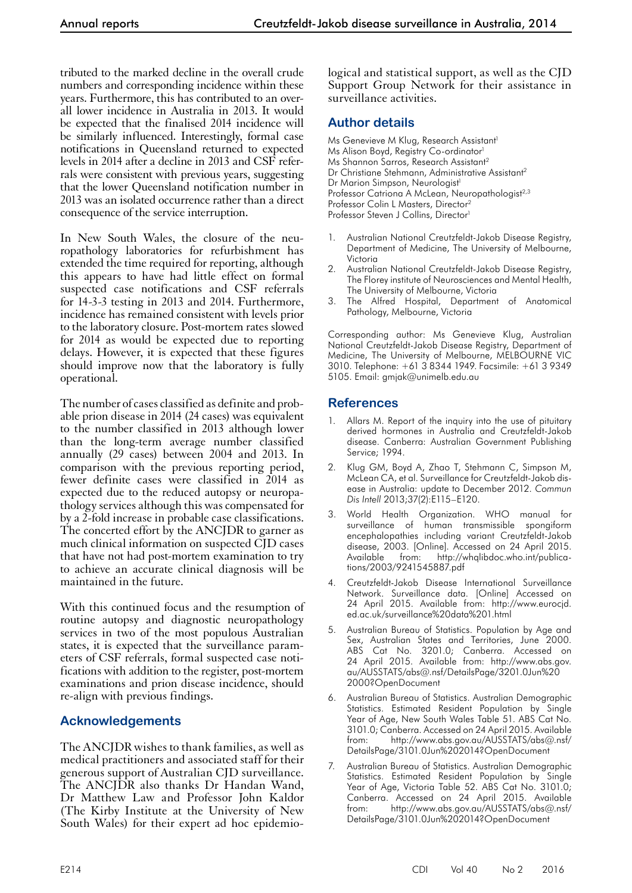tributed to the marked decline in the overall crude numbers and corresponding incidence within these years. Furthermore, this has contributed to an overall lower incidence in Australia in 2013. It would be expected that the finalised 2014 incidence will be similarly influenced. Interestingly, formal case notifications in Queensland returned to expected levels in 2014 after a decline in 2013 and CSF referrals were consistent with previous years, suggesting that the lower Queensland notification number in 2013 was an isolated occurrence rather than a direct consequence of the service interruption.

In New South Wales, the closure of the neuropathology laboratories for refurbishment has extended the time required for reporting, although this appears to have had little effect on formal suspected case notifications and CSF referrals for 14-3-3 testing in 2013 and 2014. Furthermore, incidence has remained consistent with levels prior to the laboratory closure. Post-mortem rates slowed for 2014 as would be expected due to reporting delays. However, it is expected that these figures should improve now that the laboratory is fully operational.

The number of cases classified as definite and probable prion disease in 2014 (24 cases) was equivalent to the number classified in 2013 although lower than the long-term average number classified annually (29 cases) between 2004 and 2013. In comparison with the previous reporting period, fewer definite cases were classified in 2014 as expected due to the reduced autopsy or neuropa- thology services although this was compensated for by a 2-fold increase in probable case classifications. The concerted effort by the ANCJDR to garner as much clinical information on suspected CJD cases that have not had post-mortem examination to try to achieve an accurate clinical diagnosis will be maintained in the future.

With this continued focus and the resumption of routine autopsy and diagnostic neuropathology services in two of the most populous Australian states, it is expected that the surveillance parameters of CSF referrals, formal suspected case notifications with addition to the register, post-mortem examinations and prion disease incidence, should re-align with previous findings.

# **Acknowledgements**

The ANCJDR wishes to thank families, as well as medical practitioners and associated staff for their generous support of Australian CJD surveillance. The ANCJDR also thanks Dr Handan Wand, Dr Matthew Law and Professor John Kaldor (The Kirby Institute at the University of New South Wales) for their expert ad hoc epidemiological and statistical support, as well as the CJD Support Group Network for their assistance in surveillance activities.

# **Author details**

Ms Genevieve M Klug, Research Assistant<sup>1</sup> Ms Alison Boyd, Registry Co-ordinator<sup>1</sup> Ms Shannon Sarros, Research Assistant<sup>2</sup> Dr Christiane Stehmann, Administrative Assistant<sup>2</sup> Dr Marion Simpson, Neurologist<sup>1</sup> Professor Catriona A McLean, Neuropathologist<sup>2,3</sup> Professor Colin L Masters, Director2 Professor Steven J Collins, Director<sup>1</sup>

- 1. Australian National Creutzfeldt-Jakob Disease Registry, Department of Medicine, The University of Melbourne, Victoria
- 2. Australian National Creutzfeldt-Jakob Disease Registry, The Florey institute of Neurosciences and Mental Health, The University of Melbourne, Victoria
- 3. The Alfred Hospital, Department of Anatomical Pathology, Melbourne, Victoria

Corresponding author: Ms Genevieve Klug, Australian National Creutzfeldt-Jakob Disease Registry, Department of Medicine, The University of Melbourne, MELBOURNE VIC 3010. Telephone: +61 3 8344 1949. Facsimile: +61 3 9349 5105. Email: [gmjak@unimelb.edu.au](mailto:gmjak@unimelb.edu.au)

# **References**

- Allars M. Report of the inquiry into the use of pituitary derived hormones in Australia and Creutzfeldt-Jakob disease. Canberra: Australian Government Publishing Service; 1994.
- 2. Klug GM, Boyd A, Zhao T, Stehmann C, Simpson M, McLean CA, et al. [Surveillance for Creutzfeldt-Jakob dis](http://www.ncbi.nlm.nih.gov/pubmed/24168084)[ease in Australia: update to December 2012.](http://www.ncbi.nlm.nih.gov/pubmed/24168084) *Commun Dis Intell* 2013;37(2):E115–E120.
- 3. World Health Organization. WHO manual for surveillance of human transmissible spongiform encephalopathies including variant Creutzfeldt-Jakob disease, 2003. [Online]. Accessed on 24 April 2015. Available from: [http://whqlibdoc.who.int/publica](http://whqlibdoc.who.int/publications/2003/9241545887.pdf)[tions/2003/9241545887.pdf](http://whqlibdoc.who.int/publications/2003/9241545887.pdf)
- 4. Creutzfeldt-Jakob Disease International Surveillance Network. Surveillance data. [Online] Accessed on 24 April 2015. Available from: http://www.eurocjd. ed.ac.uk/surveillance%20data%201.html
- 5. Australian Bureau of Statistics. Population by Age and Sex, Australian States and Territories, June 2000. ABS Cat No. 3201.0; Canberra. Accessed on 24 April 2015. Available from: [http://www.abs.gov.](http://www.abs.gov.au/AUSSTATS/abs@.nsf/DetailsPage/3201.0Jun%202000?OpenDocument) [au/AUSSTATS/abs@.nsf/DetailsPage/3201.0Jun%20](http://www.abs.gov.au/AUSSTATS/abs@.nsf/DetailsPage/3201.0Jun%202000?OpenDocument) [2000?OpenDocument](http://www.abs.gov.au/AUSSTATS/abs@.nsf/DetailsPage/3201.0Jun%202000?OpenDocument)
- 6. Australian Bureau of Statistics. Australian Demographic Statistics. Estimated Resident Population by Single Year of Age, New South Wales Table 51. ABS Cat No. 3101.0; Canberra. Accessed on 24 April 2015. Available from: [http://www.abs.gov.au/AUSSTATS/abs@.nsf/](http://www.abs.gov.au/AUSSTATS/abs@.nsf/DetailsPage/3101.0Jun%202014?OpenDocument) [DetailsPage/3101.0Jun%202014?OpenDocument](http://www.abs.gov.au/AUSSTATS/abs@.nsf/DetailsPage/3101.0Jun%202014?OpenDocument)
- 7. Australian Bureau of Statistics. Australian Demographic Statistics. Estimated Resident Population by Single Year of Age, Victoria Table 52. ABS Cat No. 3101.0; Canberra. Accessed on 24 April 2015. Available from: [http://www.abs.gov.au/AUSSTATS/abs@.nsf/](http://www.abs.gov.au/AUSSTATS/abs@.nsf/DetailsPage/3101.0Jun%202014?OpenDocument) [DetailsPage/3101.0Jun%202014?OpenDocument](http://www.abs.gov.au/AUSSTATS/abs@.nsf/DetailsPage/3101.0Jun%202014?OpenDocument)